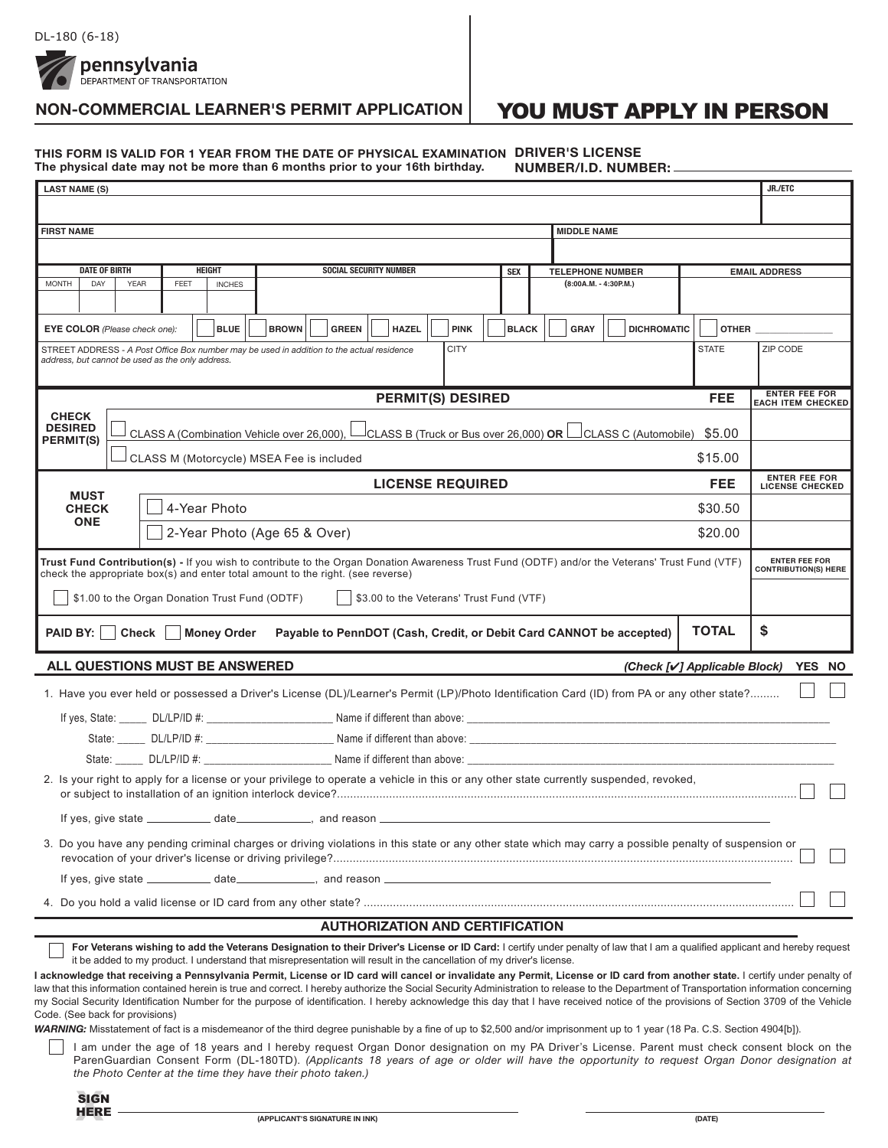pennsylvania DEPARTMENT OF TRANSPORTATION

# **NON-COMMERCIAL LEARNER'S PERMIT APPLICATION**

# YOU MUST APPLY IN PERSON

#### **DRIVER'S LICENSE THIS FORM IS VALID FOR 1 YEAR FROM THE DATE OF PHYSICAL EXAMINATION NUMBER/I.D. NUMBER: The physical date may not be more than 6 months prior to your 16th birthday.**

| <b>LAST NAME (S)</b>                                                                                                                                                                                                              |  |                                                                                                                                             |  |  |                                                 |         |                                                     | JR./ETC |                                                  |  |
|-----------------------------------------------------------------------------------------------------------------------------------------------------------------------------------------------------------------------------------|--|---------------------------------------------------------------------------------------------------------------------------------------------|--|--|-------------------------------------------------|---------|-----------------------------------------------------|---------|--------------------------------------------------|--|
|                                                                                                                                                                                                                                   |  |                                                                                                                                             |  |  |                                                 |         |                                                     |         |                                                  |  |
| <b>FIRST NAME</b>                                                                                                                                                                                                                 |  |                                                                                                                                             |  |  | <b>MIDDLE NAME</b>                              |         |                                                     |         |                                                  |  |
|                                                                                                                                                                                                                                   |  |                                                                                                                                             |  |  |                                                 |         |                                                     |         |                                                  |  |
| <b>DATE OF BIRTH</b><br><b>HEIGHT</b><br><b>SOCIAL SECURITY NUMBER</b><br><b>SEX</b>                                                                                                                                              |  |                                                                                                                                             |  |  | <b>TELEPHONE NUMBER</b><br><b>EMAIL ADDRESS</b> |         |                                                     |         |                                                  |  |
| <b>MONTH</b><br>FEET<br>(8:00A.M. - 4:30P.M.)<br>DAY<br><b>YEAR</b><br><b>INCHES</b>                                                                                                                                              |  |                                                                                                                                             |  |  |                                                 |         |                                                     |         |                                                  |  |
| <b>BROWN</b><br>EYE COLOR (Please check one):<br><b>BLUE</b><br><b>GREEN</b><br><b>HAZEL</b><br><b>PINK</b><br><b>BLACK</b><br><b>GRAY</b><br><b>DICHROMATIC</b>                                                                  |  |                                                                                                                                             |  |  |                                                 |         | <b>OTHER CONTROLLER</b>                             |         |                                                  |  |
| <b>CITY</b><br><b>STATE</b><br>STREET ADDRESS - A Post Office Box number may be used in addition to the actual residence<br>address, but cannot be used as the only address.                                                      |  |                                                                                                                                             |  |  |                                                 |         | ZIP CODE                                            |         |                                                  |  |
|                                                                                                                                                                                                                                   |  | <b>PERMIT(S) DESIRED</b>                                                                                                                    |  |  |                                                 |         |                                                     | FEE     | <b>ENTER FEE FOR</b><br><b>EACH ITEM CHECKED</b> |  |
| <b>CHECK</b><br><b>DESIRED</b><br>$\perp$ CLASS B (Truck or Bus over 26,000) OR $\perp$ CLASS C (Automobile) \$5.00<br>CLASS A (Combination Vehicle over 26,000), L                                                               |  |                                                                                                                                             |  |  |                                                 |         |                                                     |         |                                                  |  |
| <b>PERMIT(S)</b><br>\$15.00<br>CLASS M (Motorcycle) MSEA Fee is included                                                                                                                                                          |  |                                                                                                                                             |  |  |                                                 |         |                                                     |         |                                                  |  |
|                                                                                                                                                                                                                                   |  | <b>LICENSE REQUIRED</b>                                                                                                                     |  |  |                                                 |         |                                                     | FEE     | <b>ENTER FEE FOR</b><br><b>LICENSE CHECKED</b>   |  |
| <b>MUST</b><br>4-Year Photo<br><b>CHECK</b>                                                                                                                                                                                       |  |                                                                                                                                             |  |  |                                                 | \$30.50 |                                                     |         |                                                  |  |
| <b>ONE</b><br>2-Year Photo (Age 65 & Over)<br>\$20.00                                                                                                                                                                             |  |                                                                                                                                             |  |  |                                                 |         |                                                     |         |                                                  |  |
| Trust Fund Contribution(s) - If you wish to contribute to the Organ Donation Awareness Trust Fund (ODTF) and/or the Veterans' Trust Fund (VTF)<br>check the appropriate box(s) and enter total amount to the right. (see reverse) |  |                                                                                                                                             |  |  |                                                 |         | <b>ENTER FEE FOR</b><br><b>CONTRIBUTION(S) HERE</b> |         |                                                  |  |
| \$1.00 to the Organ Donation Trust Fund (ODTF)<br>\$3.00 to the Veterans' Trust Fund (VTF)                                                                                                                                        |  |                                                                                                                                             |  |  |                                                 |         |                                                     |         |                                                  |  |
| <b>TOTAL</b><br><b>Check</b><br><b>PAID BY:</b><br><b>Money Order</b><br>Payable to PennDOT (Cash, Credit, or Debit Card CANNOT be accepted)                                                                                      |  |                                                                                                                                             |  |  |                                                 |         | \$                                                  |         |                                                  |  |
| ALL QUESTIONS MUST BE ANSWERED<br>(Check [√] Applicable Block)<br>YES NO                                                                                                                                                          |  |                                                                                                                                             |  |  |                                                 |         |                                                     |         |                                                  |  |
|                                                                                                                                                                                                                                   |  | 1. Have you ever held or possessed a Driver's License (DL)/Learner's Permit (LP)/Photo Identification Card (ID) from PA or any other state? |  |  |                                                 |         |                                                     |         |                                                  |  |
|                                                                                                                                                                                                                                   |  |                                                                                                                                             |  |  |                                                 |         |                                                     |         |                                                  |  |
|                                                                                                                                                                                                                                   |  |                                                                                                                                             |  |  |                                                 |         |                                                     |         |                                                  |  |
| State: DL/LP/ID #: Name if different than above:                                                                                                                                                                                  |  |                                                                                                                                             |  |  |                                                 |         |                                                     |         |                                                  |  |
| 2. Is your right to apply for a license or your privilege to operate a vehicle in this or any other state currently suspended, revoked,                                                                                           |  |                                                                                                                                             |  |  |                                                 |         |                                                     |         |                                                  |  |
| If yes, give state $\_\_\_\_\_$ date $\_\_\_\_\_$ , and reason $\_\_\_\_\_\$                                                                                                                                                      |  |                                                                                                                                             |  |  |                                                 |         |                                                     |         |                                                  |  |
| 3. Do you have any pending criminal charges or driving violations in this state or any other state which may carry a possible penalty of suspension or                                                                            |  |                                                                                                                                             |  |  |                                                 |         |                                                     |         |                                                  |  |
|                                                                                                                                                                                                                                   |  |                                                                                                                                             |  |  |                                                 |         |                                                     |         |                                                  |  |
|                                                                                                                                                                                                                                   |  |                                                                                                                                             |  |  |                                                 |         |                                                     |         |                                                  |  |
| <b>AUTHORIZATION AND CERTIFICATION</b>                                                                                                                                                                                            |  |                                                                                                                                             |  |  |                                                 |         |                                                     |         |                                                  |  |

**For Veterans wishing to add the Veterans Designation to their Driver's License or ID Card:** I certify under penalty of law that I am a qualified applicant and hereby request it be added to my product. I understand that misrepresentation will result in the cancellation of my driver's license.

**I acknowledge that receiving a Pennsylvania Permit, License or ID card will cancel or invalidate any Permit, License or ID card from another state.** I certify under penalty of law that this information contained herein is true and correct. I hereby authorize the Social Security Administration to release to the Department of Transportation information concerning my Social Security Identification Number for the purpose of identification. I hereby acknowledge this day that I have received notice of the provisions of Section 3709 of the Vehicle Code. (See back for provisions)

WARNING: Misstatement of fact is a misdemeanor of the third degree punishable by a fine of up to \$2,500 and/or imprisonment up to 1 year (18 Pa. C.S. Section 4904[b]).

I am under the age of 18 years and I hereby request Organ Donor designation on my PA Driver's License. Parent must check consent block on the ParenGuardian Consent Form (DL-180TD). *(Applicants 18 years of age or older will have the opportunity to request Organ Donor designation at the Photo Center at the time they have their photo taken.)*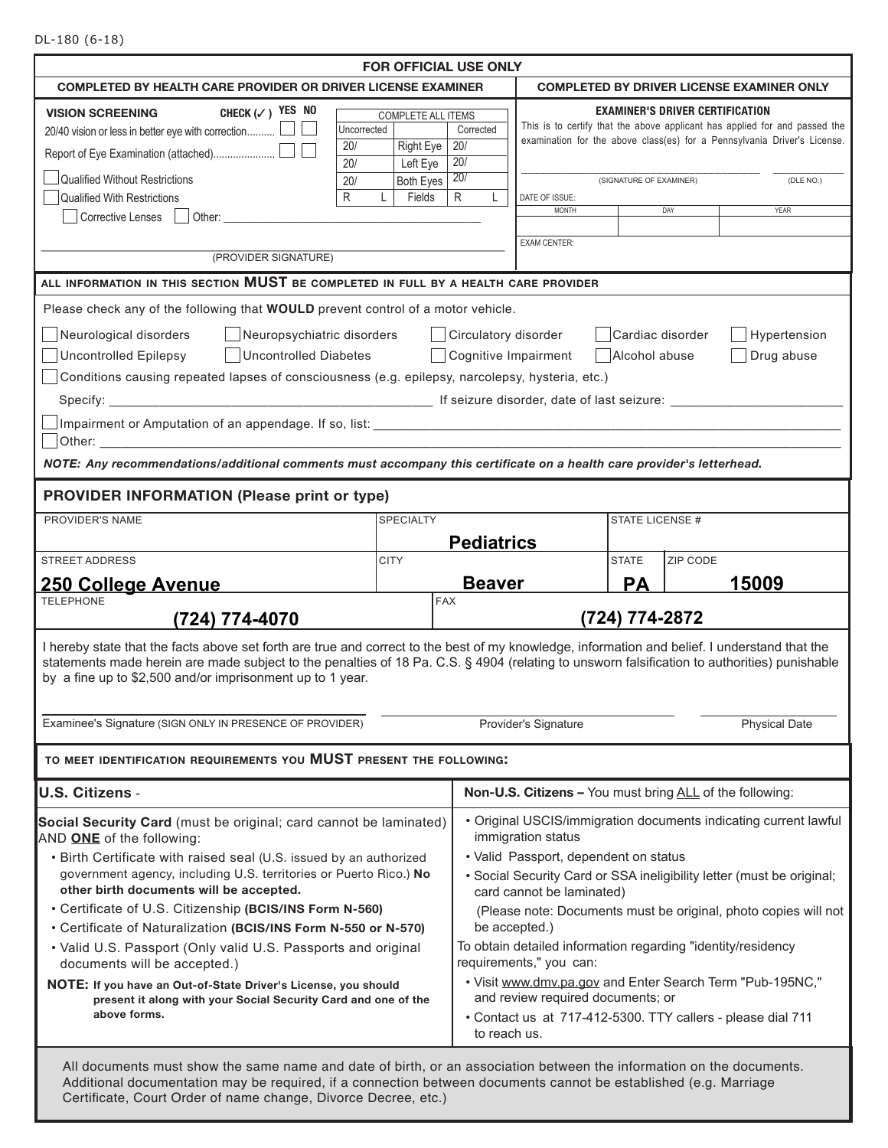DL-180 (6-18)

|                                                                                                                                                                                                                                                                                                                                                                                                                                                                                      |                                                                                 | FOR OFFICIAL USE ONLY                          |                                                                                                                                                                                                                                                                                                                           |                                                                   |          |                                                                                                                                                                             |  |  |
|--------------------------------------------------------------------------------------------------------------------------------------------------------------------------------------------------------------------------------------------------------------------------------------------------------------------------------------------------------------------------------------------------------------------------------------------------------------------------------------|---------------------------------------------------------------------------------|------------------------------------------------|---------------------------------------------------------------------------------------------------------------------------------------------------------------------------------------------------------------------------------------------------------------------------------------------------------------------------|-------------------------------------------------------------------|----------|-----------------------------------------------------------------------------------------------------------------------------------------------------------------------------|--|--|
| <b>COMPLETED BY HEALTH CARE PROVIDER OR DRIVER LICENSE EXAMINER</b>                                                                                                                                                                                                                                                                                                                                                                                                                  | <b>COMPLETED BY DRIVER LICENSE EXAMINER ONLY</b>                                |                                                |                                                                                                                                                                                                                                                                                                                           |                                                                   |          |                                                                                                                                                                             |  |  |
| CHECK $(\checkmark)$ YES NO<br><b>VISION SCREENING</b><br>20/40 vision or less in better eye with correction<br>Uncorrected<br>20/<br>20/<br>Qualified Without Restrictions<br>20/<br>R<br><b>Qualified With Restrictions</b><br>Corrective Lenses<br>Other: and the control of the control of the control of the control of the control of the control of the control of the control of the control of the control of the control of the control of the control of the control of t | <b>COMPLETE ALL ITEMS</b><br>Right Eye<br>Left Eye<br>Both Eyes<br>Fields<br>L. | Corrected<br>20/<br>20/<br>20/<br>R            | DATE OF ISSUE:<br><b>MONTH</b><br><b>EXAM CENTER:</b>                                                                                                                                                                                                                                                                     | <b>EXAMINER'S DRIVER CERTIFICATION</b><br>(SIGNATURE OF EXAMINER) | DAY      | This is to certify that the above applicant has applied for and passed the<br>examination for the above class(es) for a Pennsylvania Driver's License.<br>(DLE NO.)<br>YEAR |  |  |
| (PROVIDER SIGNATURE)                                                                                                                                                                                                                                                                                                                                                                                                                                                                 |                                                                                 |                                                |                                                                                                                                                                                                                                                                                                                           |                                                                   |          |                                                                                                                                                                             |  |  |
| ALL INFORMATION IN THIS SECTION MUST BE COMPLETED IN FULL BY A HEALTH CARE PROVIDER                                                                                                                                                                                                                                                                                                                                                                                                  |                                                                                 |                                                |                                                                                                                                                                                                                                                                                                                           |                                                                   |          |                                                                                                                                                                             |  |  |
| Please check any of the following that WOULD prevent control of a motor vehicle.<br>Neurological disorders<br>Neuropsychiatric disorders<br><b>Uncontrolled Epilepsy</b><br><b>Uncontrolled Diabetes</b><br>Conditions causing repeated lapses of consciousness (e.g. epilepsy, narcolepsy, hysteria, etc.)<br>NOTE: Any recommendations/additional comments must accompany this certificate on a health care provider's letterhead.                                                 |                                                                                 | Circulatory disorder<br>  Cognitive Impairment |                                                                                                                                                                                                                                                                                                                           | Cardiac disorder<br>Alcohol abuse                                 |          | Hypertension<br>Drug abuse                                                                                                                                                  |  |  |
| <b>PROVIDER INFORMATION (Please print or type)</b>                                                                                                                                                                                                                                                                                                                                                                                                                                   |                                                                                 |                                                |                                                                                                                                                                                                                                                                                                                           |                                                                   |          |                                                                                                                                                                             |  |  |
| PROVIDER'S NAME                                                                                                                                                                                                                                                                                                                                                                                                                                                                      | <b>SPECIALTY</b>                                                                | <b>Pediatrics</b>                              |                                                                                                                                                                                                                                                                                                                           | STATE LICENSE #                                                   |          |                                                                                                                                                                             |  |  |
| <b>STREET ADDRESS</b>                                                                                                                                                                                                                                                                                                                                                                                                                                                                | <b>CITY</b>                                                                     |                                                |                                                                                                                                                                                                                                                                                                                           | <b>STATE</b>                                                      | ZIP CODE |                                                                                                                                                                             |  |  |
| 250 College Avenue                                                                                                                                                                                                                                                                                                                                                                                                                                                                   |                                                                                 | <b>Beaver</b>                                  |                                                                                                                                                                                                                                                                                                                           | <b>PA</b>                                                         |          | 15009                                                                                                                                                                       |  |  |
| <b>TELEPHONE</b><br>(724) 774-4070                                                                                                                                                                                                                                                                                                                                                                                                                                                   |                                                                                 | <b>FAX</b>                                     |                                                                                                                                                                                                                                                                                                                           | (724) 774-2872                                                    |          |                                                                                                                                                                             |  |  |
| I hereby state that the facts above set forth are true and correct to the best of my knowledge, information and belief. I understand that the<br>statements made herein are made subject to the penalties of 18 Pa. C.S. § 4904 (relating to unsworn falsification to authorities) punishable<br>by a fine up to \$2,500 and/or imprisonment up to 1 year.                                                                                                                           |                                                                                 |                                                |                                                                                                                                                                                                                                                                                                                           |                                                                   |          |                                                                                                                                                                             |  |  |
| Examinee's Signature (SIGN ONLY IN PRESENCE OF PROVIDER)                                                                                                                                                                                                                                                                                                                                                                                                                             |                                                                                 | Provider's Signature<br><b>Physical Date</b>   |                                                                                                                                                                                                                                                                                                                           |                                                                   |          |                                                                                                                                                                             |  |  |
| TO MEET IDENTIFICATION REQUIREMENTS YOU MUST PRESENT THE FOLLOWING:                                                                                                                                                                                                                                                                                                                                                                                                                  |                                                                                 |                                                |                                                                                                                                                                                                                                                                                                                           |                                                                   |          |                                                                                                                                                                             |  |  |
| <b>U.S. Citizens -</b>                                                                                                                                                                                                                                                                                                                                                                                                                                                               |                                                                                 |                                                | Non-U.S. Citizens - You must bring ALL of the following:                                                                                                                                                                                                                                                                  |                                                                   |          |                                                                                                                                                                             |  |  |
| Social Security Card (must be original; card cannot be laminated)<br>AND ONE of the following:<br>• Birth Certificate with raised seal (U.S. issued by an authorized<br>government agency, including U.S. territories or Puerto Rico.) No<br>other birth documents will be accepted.<br>• Certificate of U.S. Citizenship (BCIS/INS Form N-560)<br>• Certificate of Naturalization (BCIS/INS Form N-550 or N-570)                                                                    |                                                                                 |                                                | • Original USCIS/immigration documents indicating current lawful<br>immigration status<br>• Valid Passport, dependent on status<br>• Social Security Card or SSA ineligibility letter (must be original;<br>card cannot be laminated)<br>(Please note: Documents must be original, photo copies will not<br>be accepted.) |                                                                   |          |                                                                                                                                                                             |  |  |
| • Valid U.S. Passport (Only valid U.S. Passports and original<br>documents will be accepted.)                                                                                                                                                                                                                                                                                                                                                                                        |                                                                                 |                                                | To obtain detailed information regarding "identity/residency<br>requirements," you can:                                                                                                                                                                                                                                   |                                                                   |          |                                                                                                                                                                             |  |  |
| NOTE: If you have an Out-of-State Driver's License, you should<br>present it along with your Social Security Card and one of the<br>above forms.                                                                                                                                                                                                                                                                                                                                     |                                                                                 |                                                | . Visit www.dmv.pa.gov and Enter Search Term "Pub-195NC,"<br>and review required documents; or<br>• Contact us at 717-412-5300. TTY callers - please dial 711<br>to reach us.                                                                                                                                             |                                                                   |          |                                                                                                                                                                             |  |  |
| All documents must show the same name and date of birth, or an association between the information on the documents.<br>Additional documentation may be required, if a connection between documents cannot be established (e.g. Marriage<br>Certificate, Court Order of name change, Divorce Decree, etc.)                                                                                                                                                                           |                                                                                 |                                                |                                                                                                                                                                                                                                                                                                                           |                                                                   |          |                                                                                                                                                                             |  |  |